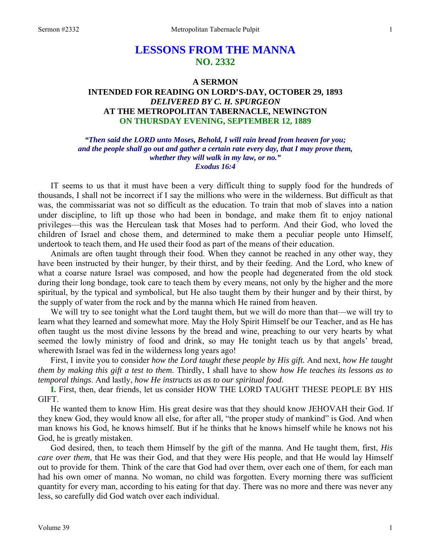# **LESSONS FROM THE MANNA NO. 2332**

# **A SERMON INTENDED FOR READING ON LORD'S-DAY, OCTOBER 29, 1893**  *DELIVERED BY C. H. SPURGEON*  **AT THE METROPOLITAN TABERNACLE, NEWINGTON ON THURSDAY EVENING, SEPTEMBER 12, 1889**

*"Then said the LORD unto Moses, Behold, I will rain bread from heaven for you; and the people shall go out and gather a certain rate every day, that I may prove them, whether they will walk in my law, or no." Exodus 16:4* 

IT seems to us that it must have been a very difficult thing to supply food for the hundreds of thousands, I shall not be incorrect if I say the millions who were in the wilderness. But difficult as that was, the commissariat was not so difficult as the education. To train that mob of slaves into a nation under discipline, to lift up those who had been in bondage, and make them fit to enjoy national privileges—this was the Herculean task that Moses had to perform. And their God, who loved the children of Israel and chose them, and determined to make them a peculiar people unto Himself, undertook to teach them, and He used their food as part of the means of their education.

Animals are often taught through their food. When they cannot be reached in any other way, they have been instructed by their hunger, by their thirst, and by their feeding. And the Lord, who knew of what a coarse nature Israel was composed, and how the people had degenerated from the old stock during their long bondage, took care to teach them by every means, not only by the higher and the more spiritual, by the typical and symbolical, but He also taught them by their hunger and by their thirst, by the supply of water from the rock and by the manna which He rained from heaven.

We will try to see tonight what the Lord taught them, but we will do more than that—we will try to learn what they learned and somewhat more. May the Holy Spirit Himself be our Teacher, and as He has often taught us the most divine lessons by the bread and wine, preaching to our very hearts by what seemed the lowly ministry of food and drink, so may He tonight teach us by that angels' bread, wherewith Israel was fed in the wilderness long years ago!

First, I invite you to consider *how the Lord taught these people by His gift.* And next, *how He taught them by making this gift a test to them*. Thirdly, I shall have to show *how He teaches its lessons as to temporal things*. And lastly, *how He instructs us as to our spiritual food*.

**I.** First, then, dear friends, let us consider HOW THE LORD TAUGHT THESE PEOPLE BY HIS GIFT.

He wanted them to know Him. His great desire was that they should know JEHOVAH their God. If they knew God, they would know all else, for after all, "the proper study of mankind" is God. And when man knows his God, he knows himself. But if he thinks that he knows himself while he knows not his God, he is greatly mistaken.

God desired, then, to teach them Himself by the gift of the manna. And He taught them, first, *His care over them*, that He was their God, and that they were His people, and that He would lay Himself out to provide for them. Think of the care that God had over them, over each one of them, for each man had his own omer of manna. No woman, no child was forgotten. Every morning there was sufficient quantity for every man, according to his eating for that day. There was no more and there was never any less, so carefully did God watch over each individual.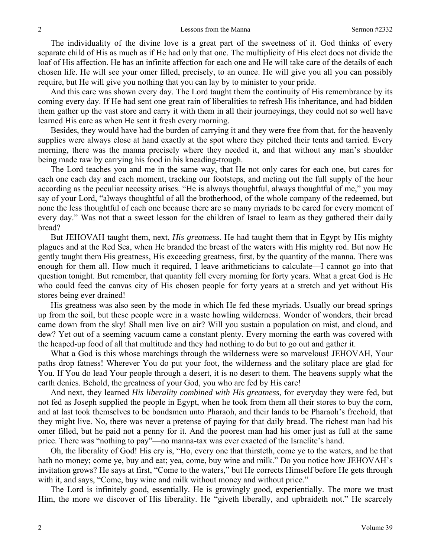The individuality of the divine love is a great part of the sweetness of it. God thinks of every separate child of His as much as if He had only that one. The multiplicity of His elect does not divide the loaf of His affection. He has an infinite affection for each one and He will take care of the details of each chosen life. He will see your omer filled, precisely, to an ounce. He will give you all you can possibly require, but He will give you nothing that you can lay by to minister to your pride.

And this care was shown every day. The Lord taught them the continuity of His remembrance by its coming every day. If He had sent one great rain of liberalities to refresh His inheritance, and had bidden them gather up the vast store and carry it with them in all their journeyings, they could not so well have learned His care as when He sent it fresh every morning.

Besides, they would have had the burden of carrying it and they were free from that, for the heavenly supplies were always close at hand exactly at the spot where they pitched their tents and tarried. Every morning, there was the manna precisely where they needed it, and that without any man's shoulder being made raw by carrying his food in his kneading-trough.

The Lord teaches you and me in the same way, that He not only cares for each one, but cares for each one each day and each moment, tracking our footsteps, and meting out the full supply of the hour according as the peculiar necessity arises. "He is always thoughtful, always thoughtful of me," you may say of your Lord, "always thoughtful of all the brotherhood, of the whole company of the redeemed, but none the less thoughtful of each one because there are so many myriads to be cared for every moment of every day." Was not that a sweet lesson for the children of Israel to learn as they gathered their daily bread?

But JEHOVAH taught them, next, *His greatness*. He had taught them that in Egypt by His mighty plagues and at the Red Sea, when He branded the breast of the waters with His mighty rod. But now He gently taught them His greatness, His exceeding greatness, first, by the quantity of the manna. There was enough for them all. How much it required, I leave arithmeticians to calculate—I cannot go into that question tonight. But remember, that quantity fell every morning for forty years. What a great God is He who could feed the canvas city of His chosen people for forty years at a stretch and yet without His stores being ever drained!

His greatness was also seen by the mode in which He fed these myriads. Usually our bread springs up from the soil, but these people were in a waste howling wilderness. Wonder of wonders, their bread came down from the sky! Shall men live on air? Will you sustain a population on mist, and cloud, and dew? Yet out of a seeming vacuum came a constant plenty. Every morning the earth was covered with the heaped-up food of all that multitude and they had nothing to do but to go out and gather it.

What a God is this whose marchings through the wilderness were so marvelous! JEHOVAH, Your paths drop fatness! Wherever You do put your foot, the wilderness and the solitary place are glad for You. If You do lead Your people through a desert, it is no desert to them. The heavens supply what the earth denies. Behold, the greatness of your God, you who are fed by His care!

And next, they learned *His liberality combined with His greatness*, for everyday they were fed, but not fed as Joseph supplied the people in Egypt, when he took from them all their stores to buy the corn, and at last took themselves to be bondsmen unto Pharaoh, and their lands to be Pharaoh's freehold, that they might live. No, there was never a pretense of paying for that daily bread. The richest man had his omer filled, but he paid not a penny for it. And the poorest man had his omer just as full at the same price. There was "nothing to pay"—no manna-tax was ever exacted of the Israelite's hand.

Oh, the liberality of God! His cry is, "Ho, every one that thirsteth, come ye to the waters, and he that hath no money; come ye, buy and eat; yea, come, buy wine and milk." Do you notice how JEHOVAH's invitation grows? He says at first, "Come to the waters," but He corrects Himself before He gets through with it, and says, "Come, buy wine and milk without money and without price."

The Lord is infinitely good, essentially. He is growingly good, experientially. The more we trust Him, the more we discover of His liberality. He "giveth liberally, and upbraideth not." He scarcely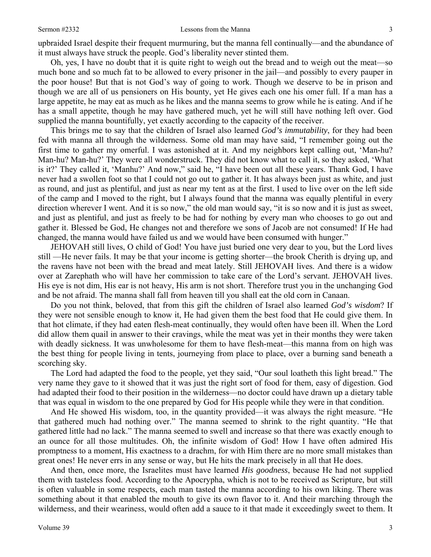upbraided Israel despite their frequent murmuring, but the manna fell continually—and the abundance of it must always have struck the people. God's liberality never stinted them.

Oh, yes, I have no doubt that it is quite right to weigh out the bread and to weigh out the meat—so much bone and so much fat to be allowed to every prisoner in the jail—and possibly to every pauper in the poor house! But that is not God's way of going to work. Though we deserve to be in prison and though we are all of us pensioners on His bounty, yet He gives each one his omer full. If a man has a large appetite, he may eat as much as he likes and the manna seems to grow while he is eating. And if he has a small appetite, though he may have gathered much, yet he will still have nothing left over. God supplied the manna bountifully, yet exactly according to the capacity of the receiver.

This brings me to say that the children of Israel also learned *God's immutability*, for they had been fed with manna all through the wilderness. Some old man may have said, "I remember going out the first time to gather my omerful. I was astonished at it. And my neighbors kept calling out, 'Man-hu? Man-hu? Man-hu?' They were all wonderstruck. They did not know what to call it, so they asked, 'What is it?' They called it, 'Manhu?' And now," said he, "I have been out all these years. Thank God, I have never had a swollen foot so that I could not go out to gather it. It has always been just as white, and just as round, and just as plentiful, and just as near my tent as at the first. I used to live over on the left side of the camp and I moved to the right, but I always found that the manna was equally plentiful in every direction wherever I went. And it is so now," the old man would say, "it is so now and it is just as sweet, and just as plentiful, and just as freely to be had for nothing by every man who chooses to go out and gather it. Blessed be God, He changes not and therefore we sons of Jacob are not consumed! If He had changed, the manna would have failed us and we would have been consumed with hunger."

JEHOVAH still lives, O child of God! You have just buried one very dear to you, but the Lord lives still —He never fails. It may be that your income is getting shorter—the brook Cherith is drying up, and the ravens have not been with the bread and meat lately. Still JEHOVAH lives. And there is a widow over at Zarephath who will have her commission to take care of the Lord's servant. JEHOVAH lives. His eye is not dim, His ear is not heavy, His arm is not short. Therefore trust you in the unchanging God and be not afraid. The manna shall fall from heaven till you shall eat the old corn in Canaan.

Do you not think, beloved, that from this gift the children of Israel also learned *God's wisdom*? If they were not sensible enough to know it, He had given them the best food that He could give them. In that hot climate, if they had eaten flesh-meat continually, they would often have been ill. When the Lord did allow them quail in answer to their cravings, while the meat was yet in their months they were taken with deadly sickness. It was unwholesome for them to have flesh-meat—this manna from on high was the best thing for people living in tents, journeying from place to place, over a burning sand beneath a scorching sky.

The Lord had adapted the food to the people, yet they said, "Our soul loatheth this light bread." The very name they gave to it showed that it was just the right sort of food for them, easy of digestion. God had adapted their food to their position in the wilderness—no doctor could have drawn up a dietary table that was equal in wisdom to the one prepared by God for His people while they were in that condition.

And He showed His wisdom, too, in the quantity provided—it was always the right measure. "He that gathered much had nothing over." The manna seemed to shrink to the right quantity. "He that gathered little had no lack." The manna seemed to swell and increase so that there was exactly enough to an ounce for all those multitudes. Oh, the infinite wisdom of God! How I have often admired His promptness to a moment, His exactness to a drachm, for with Him there are no more small mistakes than great ones! He never errs in any sense or way, but He hits the mark precisely in all that He does.

And then, once more, the Israelites must have learned *His goodness*, because He had not supplied them with tasteless food. According to the Apocrypha, which is not to be received as Scripture, but still is often valuable in some respects, each man tasted the manna according to his own liking. There was something about it that enabled the mouth to give its own flavor to it. And their marching through the wilderness, and their weariness, would often add a sauce to it that made it exceedingly sweet to them. It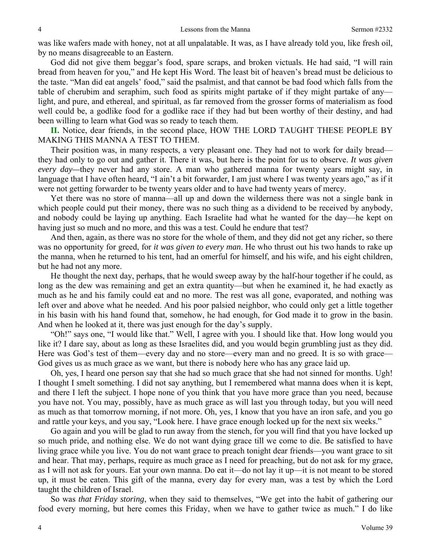was like wafers made with honey, not at all unpalatable. It was, as I have already told you, like fresh oil, by no means disagreeable to an Eastern.

God did not give them beggar's food, spare scraps, and broken victuals. He had said, "I will rain bread from heaven for you," and He kept His Word. The least bit of heaven's bread must be delicious to the taste. "Man did eat angels' food," said the psalmist, and that cannot be bad food which falls from the table of cherubim and seraphim, such food as spirits might partake of if they might partake of any light, and pure, and ethereal, and spiritual, as far removed from the grosser forms of materialism as food well could be, a godlike food for a godlike race if they had but been worthy of their destiny, and had been willing to learn what God was so ready to teach them.

**II.** Notice, dear friends, in the second place, HOW THE LORD TAUGHT THESE PEOPLE BY MAKING THIS MANNA A TEST TO THEM.

Their position was, in many respects, a very pleasant one. They had not to work for daily bread they had only to go out and gather it. There it was, but here is the point for us to observe. *It was given every day—*they never had any store. A man who gathered manna for twenty years might say, in language that I have often heard, "I ain't a bit forwarder, I am just where I was twenty years ago," as if it were not getting forwarder to be twenty years older and to have had twenty years of mercy.

Yet there was no store of manna—all up and down the wilderness there was not a single bank in which people could put their money, there was no such thing as a dividend to be received by anybody, and nobody could be laying up anything. Each Israelite had what he wanted for the day—he kept on having just so much and no more, and this was a test. Could he endure that test?

And then, again, as there was no store for the whole of them, and they did not get any richer, so there was no opportunity for greed, for *it was given to every man*. He who thrust out his two hands to rake up the manna, when he returned to his tent, had an omerful for himself, and his wife, and his eight children, but he had not any more.

He thought the next day, perhaps, that he would sweep away by the half-hour together if he could, as long as the dew was remaining and get an extra quantity—but when he examined it, he had exactly as much as he and his family could eat and no more. The rest was all gone, evaporated, and nothing was left over and above what he needed. And his poor palsied neighbor, who could only get a little together in his basin with his hand found that, somehow, he had enough, for God made it to grow in the basin. And when he looked at it, there was just enough for the day's supply.

"Oh!" says one, "I would like that." Well, I agree with you. I should like that. How long would you like it? I dare say, about as long as these Israelites did, and you would begin grumbling just as they did. Here was God's test of them—every day and no store—every man and no greed. It is so with grace— God gives us as much grace as we want, but there is nobody here who has any grace laid up.

Oh, yes, I heard one person say that she had so much grace that she had not sinned for months. Ugh! I thought I smelt something. I did not say anything, but I remembered what manna does when it is kept, and there I left the subject. I hope none of you think that you have more grace than you need, because you have not. You may, possibly, have as much grace as will last you through today, but you will need as much as that tomorrow morning, if not more. Oh, yes, I know that you have an iron safe, and you go and rattle your keys, and you say, "Look here. I have grace enough locked up for the next six weeks."

Go again and you will be glad to run away from the stench, for you will find that you have locked up so much pride, and nothing else. We do not want dying grace till we come to die. Be satisfied to have living grace while you live. You do not want grace to preach tonight dear friends—you want grace to sit and hear. That may, perhaps, require as much grace as I need for preaching, but do not ask for my grace, as I will not ask for yours. Eat your own manna. Do eat it—do not lay it up—it is not meant to be stored up, it must be eaten. This gift of the manna, every day for every man, was a test by which the Lord taught the children of Israel.

So was *that Friday storing*, when they said to themselves, "We get into the habit of gathering our food every morning, but here comes this Friday, when we have to gather twice as much." I do like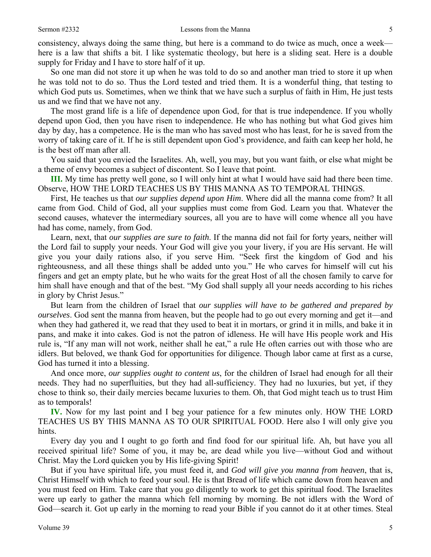consistency, always doing the same thing, but here is a command to do twice as much, once a week here is a law that shifts a bit. I like systematic theology, but here is a sliding seat. Here is a double supply for Friday and I have to store half of it up.

So one man did not store it up when he was told to do so and another man tried to store it up when he was told not to do so. Thus the Lord tested and tried them. It is a wonderful thing, that testing to which God puts us. Sometimes, when we think that we have such a surplus of faith in Him, He just tests us and we find that we have not any.

The most grand life is a life of dependence upon God, for that is true independence. If you wholly depend upon God, then you have risen to independence. He who has nothing but what God gives him day by day, has a competence. He is the man who has saved most who has least, for he is saved from the worry of taking care of it. If he is still dependent upon God's providence, and faith can keep her hold, he is the best off man after all.

You said that you envied the Israelites. Ah, well, you may, but you want faith, or else what might be a theme of envy becomes a subject of discontent. So I leave that point.

**III.** My time has pretty well gone, so I will only hint at what I would have said had there been time. Observe, HOW THE LORD TEACHES US BY THIS MANNA AS TO TEMPORAL THINGS.

First, He teaches us that *our supplies depend upon Him*. Where did all the manna come from? It all came from God. Child of God, all your supplies must come from God. Learn you that. Whatever the second causes, whatever the intermediary sources, all you are to have will come whence all you have had has come, namely, from God.

Learn, next, that *our supplies are sure to faith*. If the manna did not fail for forty years, neither will the Lord fail to supply your needs. Your God will give you your livery, if you are His servant. He will give you your daily rations also, if you serve Him. "Seek first the kingdom of God and his righteousness, and all these things shall be added unto you." He who carves for himself will cut his fingers and get an empty plate, but he who waits for the great Host of all the chosen family to carve for him shall have enough and that of the best. "My God shall supply all your needs according to his riches in glory by Christ Jesus."

But learn from the children of Israel that *our supplies will have to be gathered and prepared by ourselves*. God sent the manna from heaven, but the people had to go out every morning and get it—and when they had gathered it, we read that they used to beat it in mortars, or grind it in mills, and bake it in pans, and make it into cakes. God is not the patron of idleness. He will have His people work and His rule is, "If any man will not work, neither shall he eat," a rule He often carries out with those who are idlers. But beloved, we thank God for opportunities for diligence. Though labor came at first as a curse, God has turned it into a blessing.

And once more, *our supplies ought to content us*, for the children of Israel had enough for all their needs. They had no superfluities, but they had all-sufficiency. They had no luxuries, but yet, if they chose to think so, their daily mercies became luxuries to them. Oh, that God might teach us to trust Him as to temporals!

**IV.** Now for my last point and I beg your patience for a few minutes only. HOW THE LORD TEACHES US BY THIS MANNA AS TO OUR SPIRITUAL FOOD. Here also I will only give you hints.

Every day you and I ought to go forth and find food for our spiritual life. Ah, but have you all received spiritual life? Some of you, it may be, are dead while you live—without God and without Christ. May the Lord quicken you by His life-giving Spirit!

But if you have spiritual life, you must feed it, and *God will give you manna from heaven*, that is, Christ Himself with which to feed your soul. He is that Bread of life which came down from heaven and you must feed on Him. Take care that you go diligently to work to get this spiritual food. The Israelites were up early to gather the manna which fell morning by morning. Be not idlers with the Word of God—search it. Got up early in the morning to read your Bible if you cannot do it at other times. Steal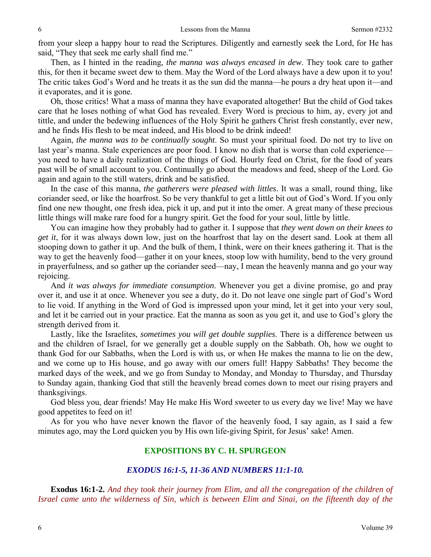from your sleep a happy hour to read the Scriptures. Diligently and earnestly seek the Lord, for He has said, "They that seek me early shall find me."

Then, as I hinted in the reading, *the manna was always encased in dew*. They took care to gather this, for then it became sweet dew to them. May the Word of the Lord always have a dew upon it to you! The critic takes God's Word and he treats it as the sun did the manna—he pours a dry heat upon it—and it evaporates, and it is gone.

Oh, those critics! What a mass of manna they have evaporated altogether! But the child of God takes care that he loses nothing of what God has revealed. Every Word is precious to him, ay, every jot and tittle, and under the bedewing influences of the Holy Spirit he gathers Christ fresh constantly, ever new, and he finds His flesh to be meat indeed, and His blood to be drink indeed!

Again, *the manna was to be continually sought*. So must your spiritual food. Do not try to live on last year's manna. Stale experiences are poor food. I know no dish that is worse than cold experience you need to have a daily realization of the things of God. Hourly feed on Christ, for the food of years past will be of small account to you. Continually go about the meadows and feed, sheep of the Lord. Go again and again to the still waters, drink and be satisfied.

In the case of this manna, *the gatherers were pleased with littles*. It was a small, round thing, like coriander seed, or like the hoarfrost. So be very thankful to get a little bit out of God's Word. If you only find one new thought, one fresh idea, pick it up, and put it into the omer. A great many of these precious little things will make rare food for a hungry spirit. Get the food for your soul, little by little.

You can imagine how they probably had to gather it. I suppose that *they went down on their knees to get it*, for it was always down low, just on the hoarfrost that lay on the desert sand. Look at them all stooping down to gather it up. And the bulk of them, I think, were on their knees gathering it. That is the way to get the heavenly food—gather it on your knees, stoop low with humility, bend to the very ground in prayerfulness, and so gather up the coriander seed—nay, I mean the heavenly manna and go your way rejoicing.

And *it was always for immediate consumption*. Whenever you get a divine promise, go and pray over it, and use it at once. Whenever you see a duty, do it. Do not leave one single part of God's Word to lie void. If anything in the Word of God is impressed upon your mind, let it get into your very soul, and let it be carried out in your practice. Eat the manna as soon as you get it, and use to God's glory the strength derived from it.

Lastly, like the Israelites, *sometimes you will get double supplies*. There is a difference between us and the children of Israel, for we generally get a double supply on the Sabbath. Oh, how we ought to thank God for our Sabbaths, when the Lord is with us, or when He makes the manna to lie on the dew, and we come up to His house, and go away with our omers full! Happy Sabbaths! They become the marked days of the week, and we go from Sunday to Monday, and Monday to Thursday, and Thursday to Sunday again, thanking God that still the heavenly bread comes down to meet our rising prayers and thanksgivings.

God bless you, dear friends! May He make His Word sweeter to us every day we live! May we have good appetites to feed on it!

As for you who have never known the flavor of the heavenly food, I say again, as I said a few minutes ago, may the Lord quicken you by His own life-giving Spirit, for Jesus' sake! Amen.

### **EXPOSITIONS BY C. H. SPURGEON**

### *EXODUS 16:1-5, 11-36 AND NUMBERS 11:1-10.*

**Exodus 16:1-2.** *And they took their journey from Elim, and all the congregation of the children of Israel came unto the wilderness of Sin, which is between Elim and Sinai, on the fifteenth day of the*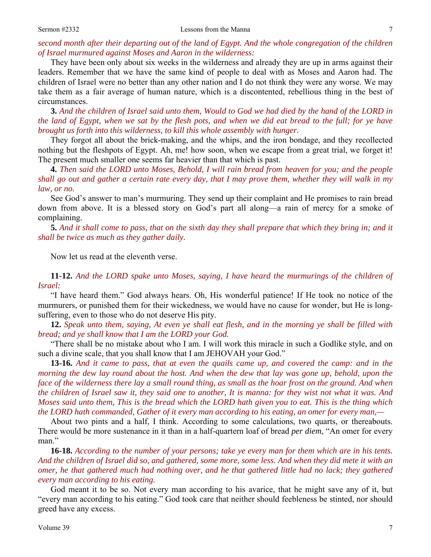### Sermon #2332 Lessons from the Manna 7

*second month after their departing out of the land of Egypt. And the whole congregation of the children of Israel murmured against Moses and Aaron in the wilderness:*

They have been only about six weeks in the wilderness and already they are up in arms against their leaders. Remember that we have the same kind of people to deal with as Moses and Aaron had. The children of Israel were no better than any other nation and I do not think they were any worse. We may take them as a fair average of human nature, which is a discontented, rebellious thing in the best of circumstances.

**3.** *And the children of Israel said unto them, Would to God we had died by the hand of the LORD in the land of Egypt, when we sat by the flesh pots, and when we did eat bread to the full; for ye have brought us forth into this wilderness, to kill this whole assembly with hunger.*

They forgot all about the brick-making, and the whips, and the iron bondage, and they recollected nothing but the fleshpots of Egypt. Ah, me! how soon, when we escape from a great trial, we forget it! The present much smaller one seems far heavier than that which is past.

**4.** *Then said the LORD unto Moses, Behold, I will rain bread from heaven for you; and the people shall go out and gather a certain rate every day, that I may prove them, whether they will walk in my law, or no.*

See God's answer to man's murmuring. They send up their complaint and He promises to rain bread down from above. It is a blessed story on God's part all along—a rain of mercy for a smoke of complaining.

**5.** *And it shall come to pass, that on the sixth day they shall prepare that which they bring in; and it shall be twice as much as they gather daily.*

Now let us read at the eleventh verse.

**11-12.** *And the LORD spake unto Moses, saying, I have heard the murmurings of the children of Israel:*

"I have heard them." God always hears. Oh, His wonderful patience! If He took no notice of the murmurers, or punished them for their wickedness, we would have no cause for wonder, but He is longsuffering, even to those who do not deserve His pity.

**12.** *Speak unto them, saying, At even ye shall eat flesh, and in the morning ye shall be filled with bread; and ye shall know that I am the LORD your God.*

"There shall be no mistake about who I am. I will work this miracle in such a Godlike style, and on such a divine scale, that you shall know that I am JEHOVAH your God."

**13-16.** *And it came to pass, that at even the quails came up, and covered the camp: and in the morning the dew lay round about the host. And when the dew that lay was gone up, behold, upon the* face of the wilderness there lay a small round thing, as small as the hoar frost on the ground. And when *the children of Israel saw it, they said one to another, It is manna: for they wist not what it was. And Moses said unto them, This is the bread which the LORD hath given you to eat. This is the thing which the LORD hath commanded, Gather of it every man according to his eating, an omer for every man,—*

About two pints and a half, I think. According to some calculations, two quarts, or thereabouts. There would be more sustenance in it than in a half-quartern loaf of bread *per diem*, "An omer for every man."

**16-18.** *According to the number of your persons; take ye every man for them which are in his tents. And the children of Israel did so, and gathered, some more, some less. And when they did mete it with an omer, he that gathered much had nothing over, and he that gathered little had no lack; they gathered every man according to his eating.*

God meant it to be so. Not every man according to his avarice, that he might save any of it, but "every man according to his eating." God took care that neither should feebleness be stinted, nor should greed have any excess.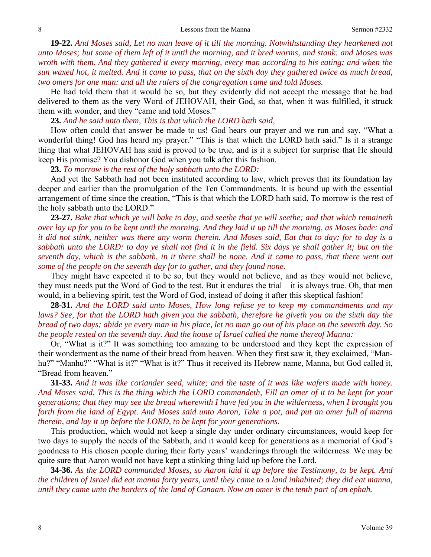**19-22.** *And Moses said, Let no man leave of it till the morning. Notwithstanding they hearkened not unto Moses; but some of them left of it until the morning, and it bred worms, and stank: and Moses was wroth with them. And they gathered it every morning, every man according to his eating: and when the sun waxed hot, it melted. And it came to pass, that on the sixth day they gathered twice as much bread, two omers for one man: and all the rulers of the congregation came and told Moses.*

He had told them that it would be so, but they evidently did not accept the message that he had delivered to them as the very Word of JEHOVAH, their God, so that, when it was fulfilled, it struck them with wonder, and they "came and told Moses."

**23.** *And he said unto them, This is that which the LORD hath said,*

How often could that answer be made to us! God hears our prayer and we run and say, "What a wonderful thing! God has heard my prayer." "This is that which the LORD hath said." Is it a strange thing that what JEHOVAH has said is proved to be true, and is it a subject for surprise that He should keep His promise? You dishonor God when you talk after this fashion.

**23.** *To morrow is the rest of the holy sabbath unto the LORD:* 

And yet the Sabbath had not been instituted according to law, which proves that its foundation lay deeper and earlier than the promulgation of the Ten Commandments. It is bound up with the essential arrangement of time since the creation, "This is that which the LORD hath said, To morrow is the rest of the holy sabbath unto the LORD."

**23-27.** *Bake that which ye will bake to day, and seethe that ye will seethe; and that which remaineth over lay up for you to be kept until the morning. And they laid it up till the morning, as Moses bade: and it did not stink, neither was there any worm therein. And Moses said, Eat that to day; for to day is a sabbath unto the LORD: to day ye shall not find it in the field. Six days ye shall gather it; but on the seventh day, which is the sabbath, in it there shall be none. And it came to pass, that there went out some of the people on the seventh day for to gather, and they found none.*

They might have expected it to be so, but they would not believe, and as they would not believe, they must needs put the Word of God to the test. But it endures the trial—it is always true. Oh, that men would, in a believing spirit, test the Word of God, instead of doing it after this skeptical fashion!

**28-31.** *And the LORD said unto Moses, How long refuse ye to keep my commandments and my laws? See, for that the LORD hath given you the sabbath, therefore he giveth you on the sixth day the bread of two days; abide ye every man in his place, let no man go out of his place on the seventh day. So the people rested on the seventh day. And the house of Israel called the name thereof Manna:* 

Or, "What is it?" It was something too amazing to be understood and they kept the expression of their wonderment as the name of their bread from heaven. When they first saw it, they exclaimed, "Manhu?" "Manhu?" "What is it?" "What is it?" Thus it received its Hebrew name, Manna, but God called it, "Bread from heaven."

**31-33.** *And it was like coriander seed, white; and the taste of it was like wafers made with honey. And Moses said, This is the thing which the LORD commandeth, Fill an omer of it to be kept for your generations; that they may see the bread wherewith I have fed you in the wilderness, when I brought you forth from the land of Egypt. And Moses said unto Aaron, Take a pot, and put an omer full of manna therein, and lay it up before the LORD, to be kept for your generations.*

This production, which would not keep a single day under ordinary circumstances, would keep for two days to supply the needs of the Sabbath, and it would keep for generations as a memorial of God's goodness to His chosen people during their forty years' wanderings through the wilderness. We may be quite sure that Aaron would not have kept a stinking thing laid up before the Lord.

**34-36.** *As the LORD commanded Moses, so Aaron laid it up before the Testimony, to be kept. And the children of Israel did eat manna forty years, until they came to a land inhabited; they did eat manna, until they came unto the borders of the land of Canaan. Now an omer is the tenth part of an ephah.*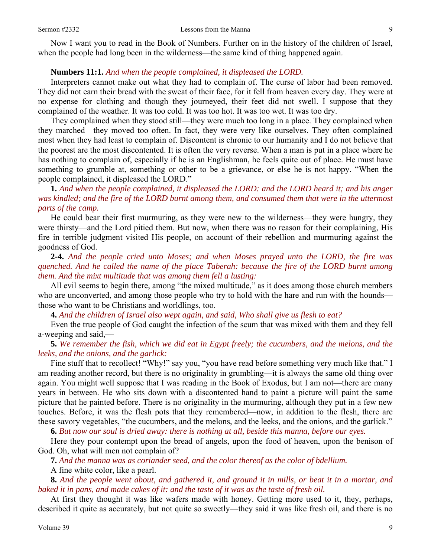Now I want you to read in the Book of Numbers. Further on in the history of the children of Israel, when the people had long been in the wilderness—the same kind of thing happened again.

### **Numbers 11:1.** *And when the people complained, it displeased the LORD.*

Interpreters cannot make out what they had to complain of. The curse of labor had been removed. They did not earn their bread with the sweat of their face, for it fell from heaven every day. They were at no expense for clothing and though they journeyed, their feet did not swell. I suppose that they complained of the weather. It was too cold. It was too hot. It was too wet. It was too dry.

They complained when they stood still—they were much too long in a place. They complained when they marched—they moved too often. In fact, they were very like ourselves. They often complained most when they had least to complain of. Discontent is chronic to our humanity and I do not believe that the poorest are the most discontented. It is often the very reverse. When a man is put in a place where he has nothing to complain of, especially if he is an Englishman, he feels quite out of place. He must have something to grumble at, something or other to be a grievance, or else he is not happy. "When the people complained, it displeased the LORD."

**1.** *And when the people complained, it displeased the LORD: and the LORD heard it; and his anger was kindled; and the fire of the LORD burnt among them, and consumed them that were in the uttermost parts of the camp.*

He could bear their first murmuring, as they were new to the wilderness—they were hungry, they were thirsty—and the Lord pitied them. But now, when there was no reason for their complaining, His fire in terrible judgment visited His people, on account of their rebellion and murmuring against the goodness of God.

**2-4.** *And the people cried unto Moses; and when Moses prayed unto the LORD, the fire was quenched. And he called the name of the place Taberah: because the fire of the LORD burnt among them. And the mixt multitude that was among them fell a lusting:*

All evil seems to begin there, among "the mixed multitude," as it does among those church members who are unconverted, and among those people who try to hold with the hare and run with the hounds those who want to be Christians and worldlings, too.

**4.** *And the children of Israel also wept again, and said, Who shall give us flesh to eat?*

Even the true people of God caught the infection of the scum that was mixed with them and they fell a-weeping and said,—

**5.** *We remember the fish, which we did eat in Egypt freely; the cucumbers, and the melons, and the leeks, and the onions, and the garlick:*

Fine stuff that to recollect! "Why!" say you, "you have read before something very much like that." I am reading another record, but there is no originality in grumbling—it is always the same old thing over again. You might well suppose that I was reading in the Book of Exodus, but I am not—there are many years in between. He who sits down with a discontented hand to paint a picture will paint the same picture that he painted before. There is no originality in the murmuring, although they put in a few new touches. Before, it was the flesh pots that they remembered—now, in addition to the flesh, there are these savory vegetables, "the cucumbers, and the melons, and the leeks, and the onions, and the garlick."

**6.** *But now our soul is dried away: there is nothing at all, beside this manna, before our eyes.*

Here they pour contempt upon the bread of angels, upon the food of heaven, upon the benison of God. Oh, what will men not complain of?

**7.** *And the manna was as coriander seed, and the color thereof as the color of bdellium.* 

A fine white color, like a pearl.

**8.** *And the people went about, and gathered it, and ground it in mills, or beat it in a mortar, and baked it in pans, and made cakes of it: and the taste of it was as the taste of fresh oil.*

At first they thought it was like wafers made with honey. Getting more used to it, they, perhaps, described it quite as accurately, but not quite so sweetly—they said it was like fresh oil, and there is no